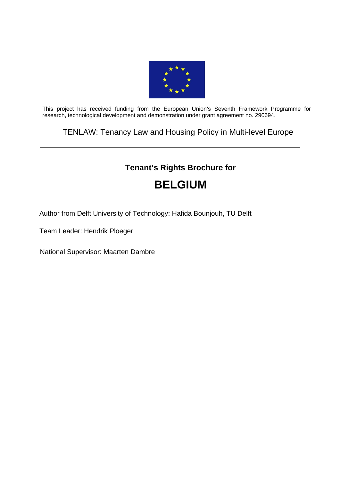

This project has received funding from the European Union's Seventh Framework Programme for research, technological development and demonstration under grant agreement no. 290694.

TENLAW: Tenancy Law and Housing Policy in Multi-level Europe

# **Tenant's Rights Brochure for**

# **BELGIUM**

Author from Delft University of Technology: Hafida Bounjouh, TU Delft

Team Leader: Hendrik Ploeger

National Supervisor: Maarten Dambre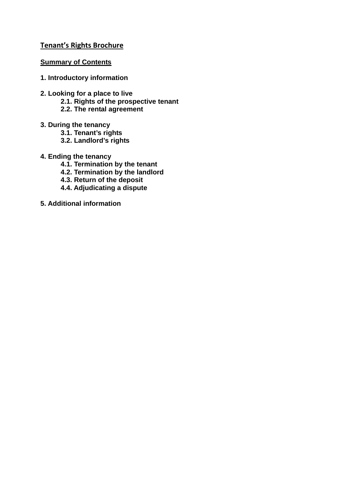# **Tenant's Rights Brochure**

# **Summary of Contents**

- **1. Introductory information**
- **2. Looking for a place to live** 
	- **2.1. Rights of the prospective tenant**
	- **2.2. The rental agreement**
- **3. During the tenancy** 
	- **3.1. Tenant's rights**
	- **3.2. Landlord's rights**
- **4. Ending the tenancy** 
	- **4.1. Termination by the tenant**
	- **4.2. Termination by the landlord**
	- **4.3. Return of the deposit**
	- **4.4. Adjudicating a dispute**
- **5. Additional information**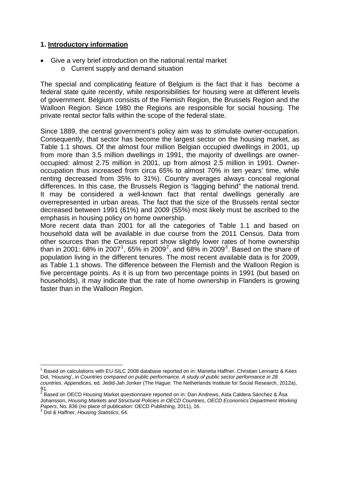# **1. Introductory information**

- Give a very brief introduction on the national rental market
	- o Current supply and demand situation

The special and complicating feature of Belgium is the fact that it has become a federal state quite recently, while responsibilities for housing were at different levels of government. Belgium consists of the Flemish Region, the Brussels Region and the Walloon Region. Since 1980 the Regions are responsible for social housing. The private rental sector falls within the scope of the federal state.

Since 1889, the central government's policy aim was to stimulate owner-occupation. Consequently, that sector has become the largest sector on the housing market, as Table 1.1 shows. Of the almost four million Belgian occupied dwellings in 2001, up from more than 3.5 million dwellings in 1991, the majority of dwellings are owneroccupied: almost 2.75 million in 2001, up from almost 2.5 million in 1991. Owneroccupation thus increased from circa 65% to almost 70% in ten years' time, while renting decreased from 35% to 31%). Country averages always conceal regional differences. In this case, the Brussels Region is "lagging behind" the national trend. It may be considered a well-known fact that rental dwellings generally are overrepresented in urban areas. The fact that the size of the Brussels rental sector decreased between 1991 (61%) and 2009 (55%) most likely must be ascribed to the emphasis in housing policy on home ownership.

More recent data than 2001 for all the categories of Table 1.1 and based on household data will be available in due course from the 2011 Census. Data from other sources than the Census report show slightly lower rates of home ownership than in 200[1](#page-2-0): 68% in [2](#page-2-1)007<sup>1</sup>, 65% in 2009<sup>2</sup>, and 68% in 2009<sup>[3](#page-2-2)</sup>. Based on the share of population living in the different tenures. The most recent available data is for 2009, as Table 1.1 shows. The difference between the Flemish and the Walloon Region is five percentage points. As it is up from two percentage points in 1991 (but based on households), it may indicate that the rate of home ownership in Flanders is growing faster than in the Walloon Region.

<span id="page-2-0"></span> 1 Based on calculations with EU-SILC 2008 database reported on in: Marietta Haffner, Christian Lennartz & Kees Dol, 'Housing', in *Countries compared on public performance. A study of public sector performance in 28 countries. Appendices*, ed. Jedid-Jah Jonker (The Hague: The Netherlands Institute for Social Research, 2012a),

<span id="page-2-1"></span><sup>91.&</sup>lt;br><sup>2</sup> Based on OECD Housing Market questionnaire reported on in: Dan Andrews, Aida Caldera Sánchez & Åsa Johansson, *Housing Markets and Structural Policies in OECD Countries*, *OECD Economics Department Working Papers*, No. 836 (no place of publication: OECD Publishing, 2011), 16.

<span id="page-2-2"></span>Dol & Haffner, *Housing Statistics*, 64.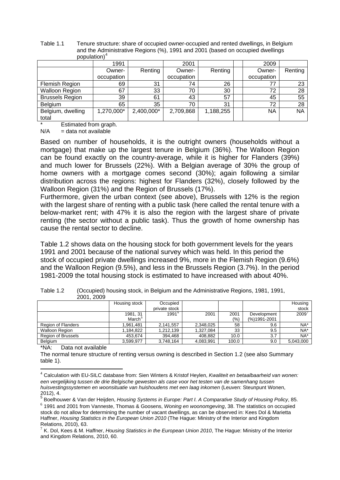| Table 1.1 | Tenure structure: share of occupied owner-occupied and rented dwellings, in Belgium |
|-----------|-------------------------------------------------------------------------------------|
|           | and the Administrative Regions (%), 1991 and 2001 (based on occupied dwellings      |
|           | population) $4$                                                                     |

| .                      |            |            |            |           |            |         |
|------------------------|------------|------------|------------|-----------|------------|---------|
|                        | 1991       |            | 2001       |           | 2009       |         |
|                        | Owner-     | Renting    | Owner-     | Renting   | Owner-     | Renting |
|                        | occupation |            | occupation |           | occupation |         |
| Flemish Region         | 69         | 31         | 74         | 26        |            | 23      |
| <b>Walloon Region</b>  | 67         | 33         | 70         | 30        | 72         | 28      |
| <b>Brussels Region</b> | 39         | 61         | 43         | 57        | 45         | 55      |
| Belgium                | 65         | 35         | 70         | 31        | 72         | 28      |
| Belgium, dwelling      | 1,270,000* | 2,400,000* | 2,709,868  | 1,188,255 | <b>NA</b>  | ΝA      |
| total                  |            |            |            |           |            |         |

Estimated from graph.

 $N/A$  = data not available

Based on number of households, it is the outright owners (households without a mortgage) that make up the largest tenure in Belgium (36%). The Walloon Region can be found exactly on the country-average, while it is higher for Flanders (39%) and much lower for Brussels (22%). With a Belgian average of 30% the group of home owners with a mortgage comes second (30%); again following a similar distribution across the regions: highest for Flanders (32%), closely followed by the Walloon Region (31%) and the Region of Brussels (17%).

Furthermore, given the urban context (see above), Brussels with 12% is the region with the largest share of renting with a public task (here called the rental tenure with a below-market rent; with 47% it is also the region with the largest share of private renting (the sector without a public task). Thus the growth of home ownership has cause the rental sector to decline.

Table 1.2 shows data on the housing stock for both government levels for the years 1991 and 2001 because of the national survey which was held. In this period the stock of occupied private dwellings increased 9%, more in the Flemish Region (9.6%) and the Walloon Region (9.5%), and less in the Brussels Region (3.7%). In the period 1981-2009 the total housing stock is estimated to have increased with about 40%.

| --- - - - - - -           |                    |               |           |       |              |           |
|---------------------------|--------------------|---------------|-----------|-------|--------------|-----------|
|                           | Housing stock      | Occupied      |           |       |              | Housing   |
|                           |                    | private stock |           |       |              | stock     |
|                           | 1981, 31           | $1991^6$      | 2001      | 2001  | Development  | 2009      |
|                           | March <sup>5</sup> |               |           | (% )  | (%)1991-2001 |           |
| <b>Region of Flanders</b> | 1,961,481          | 2,141,557     | 2,348,025 | 58    | 9.6          | NA*       |
| <b>Walloon Region</b>     | 1,184,822          | 1,212,139     | 1,327,084 | 33    | 9.5          | $NA^*$    |
| <b>Region of Brussels</b> | 453.674            | 394.468       | 408.882   | 10.0  | 3.7          | $NA^*$    |
| Belgium                   | 3,599,977          | 3,748,164     | 4,083,991 | 100.0 | 9.0          | 5,043,000 |

Table 1.2 (Occupied) housing stock, in Belgium and the Administrative Regions, 1981, 1991, 2001, 2009

\*NA: Data not available

The normal tenure structure of renting versus owning is described in Section 1.2 (see also Summary table 1).

<span id="page-3-0"></span><sup>4</sup> Calculation with EU-SILC database from: Sien Winters & Kristof Heylen, *Kwaliteit en betaalbaarheid van wonen: een vergelijking tussen de drie Belgische gewesten als case voor het testen van de samenhang tussen huisvestingssystemen en woonsituatie van huishoudens met een laag inkomen* (Leuven: Steunpunt Wonen, 2012), 4.

<span id="page-3-2"></span><span id="page-3-1"></span><sup>5</sup> Boelhouwer & Van der Heijden, *Housing Systems in Europe: Part I. A Comparative Study of Housing Policy*, 85. <sup>6</sup> 1991 and 2001 from Vanneste, Thomas & Goosens, *Woning en woonomgeving*, 38. The statistics on occupied stock do not allow for determining the number of vacant dwellings, as can be observed in: Kees Dol & Marietta Haffner, *Housing Statistics in the European Union 2010* (The Hague: Ministry of the Interior and Kingdom Relations, 2010), 63.

<span id="page-3-3"></span><sup>7</sup> K. Dol, Kees & M. Haffner, *Housing Statistics in the European Union 2010*, The Hague: Ministry of the Interior and Kingdom Relations, 2010, 60.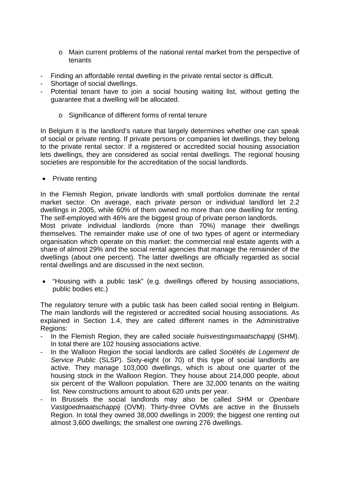- o Main current problems of the national rental market from the perspective of tenants
- Finding an affordable rental dwelling in the private rental sector is difficult.
- Shortage of social dwellings.
- Potential tenant have to join a social housing waiting list, without getting the guarantee that a dwelling will be allocated.
	- o Significance of different forms of rental tenure

In Belgium it is the landlord's nature that largely determines whether one can speak of social or private renting. If private persons or companies let dwellings, they belong to the private rental sector. If a registered or accredited social housing association lets dwellings, they are considered as social rental dwellings. The regional housing societies are responsible for the accreditation of the social landlords.

• Private renting

In the Flemish Region, private landlords with small portfolios dominate the rental market sector. On average, each private person or individual landlord let 2.2 dwellings in 2005, while 60% of them owned no more than one dwelling for renting. The self-employed with 46% are the biggest group of private person landlords.

Most private individual landlords (more than 70%) manage their dwellings themselves. The remainder make use of one of two types of agent or intermediary organisation which operate on this market: the commercial real estate agents with a share of almost 29% and the social rental agencies that manage the remainder of the dwellings (about one percent). The latter dwellings are officially regarded as social rental dwellings and are discussed in the next section.

 "Housing with a public task" (e.g. dwellings offered by housing associations, public bodies etc.)

The regulatory tenure with a public task has been called social renting in Belgium. The main landlords will the registered or accredited social housing associations. As explained in Section 1.4, they are called different names in the Administrative Regions:

- In the Flemish Region, they are called *sociale huisvestingsmaatschappij* (SHM). In total there are 102 housing associations active.
- In the Walloon Region the social landlords are called *Sociétés de Logement de Service Public* (SLSP). Sixty-eight (or 70) of this type of social landlords are active. They manage 103,000 dwellings, which is about one quarter of the housing stock in the Walloon Region. They house about 214,000 people, about six percent of the Walloon population. There are 32,000 tenants on the waiting list. New constructions amount to about 620 units per year.
- In Brussels the social landlords may also be called SHM or *Openbare Vastgoedmaatschappij* (OVM). Thirty-three OVMs are active in the Brussels Region. In total they owned 38,000 dwellings in 2009; the biggest one renting out almost 3,600 dwellings; the smallest one owning 276 dwellings.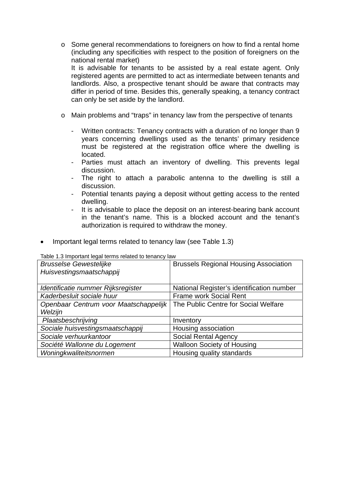- o Some general recommendations to foreigners on how to find a rental home (including any specificities with respect to the position of foreigners on the national rental market) It is advisable for tenants to be assisted by a real estate agent. Only registered agents are permitted to act as intermediate between tenants and landlords. Also, a prospective tenant should be aware that contracts may differ in period of time. Besides this, generally speaking, a tenancy contract can only be set aside by the landlord.
- o Main problems and "traps" in tenancy law from the perspective of tenants
	- Written contracts: Tenancy contracts with a duration of no longer than 9 years concerning dwellings used as the tenants' primary residence must be registered at the registration office where the dwelling is located.
	- Parties must attach an inventory of dwelling. This prevents legal discussion.
	- The right to attach a parabolic antenna to the dwelling is still a discussion.
	- Potential tenants paying a deposit without getting access to the rented dwelling.
	- It is advisable to place the deposit on an interest-bearing bank account in the tenant's name. This is a blocked account and the tenant's authorization is required to withdraw the money.
- Important legal terms related to tenancy law (see Table 1.3)

Table 1.3 Important legal terms related to tenancy law

| <b>Brusselse Gewestelijke</b><br>Huisvestingsmaatschappij | <b>Brussels Regional Housing Association</b> |
|-----------------------------------------------------------|----------------------------------------------|
| Identificatie nummer Rijksregister                        | National Register's identification number    |
| Kaderbesluit sociale huur                                 | <b>Frame work Social Rent</b>                |
| Openbaar Centrum voor Maatschappelijk                     | The Public Centre for Social Welfare         |
| Welzijn                                                   |                                              |
| Plaatsbeschrijving                                        | Inventory                                    |
| Sociale huisvestingsmaatschappij                          | Housing association                          |
| Sociale verhuurkantoor                                    | <b>Social Rental Agency</b>                  |
| Société Wallonne du Logement                              | <b>Walloon Society of Housing</b>            |
| Woningkwaliteitsnormen                                    | Housing quality standards                    |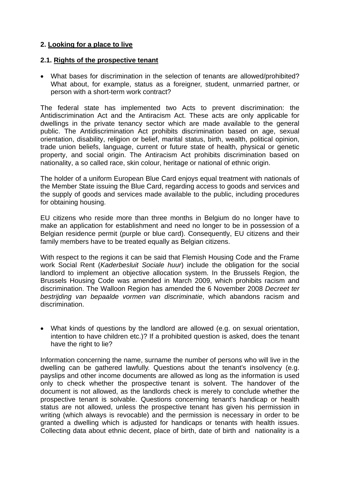# **2. Looking for a place to live**

## **2.1. Rights of the prospective tenant**

 What bases for discrimination in the selection of tenants are allowed/prohibited? What about, for example, status as a foreigner, student, unmarried partner, or person with a short-term work contract?

The federal state has implemented two Acts to prevent discrimination: the Antidiscrimination Act and the Antiracism Act. These acts are only applicable for dwellings in the private tenancy sector which are made available to the general public. The Antidiscrimination Act prohibits discrimination based on age, sexual orientation, disability, religion or belief, marital status, birth, wealth, political opinion, trade union beliefs, language, current or future state of health, physical or genetic property, and social origin. The Antiracism Act prohibits discrimination based on nationality, a so called race, skin colour, heritage or national of ethnic origin.

The holder of a uniform European Blue Card enjoys equal treatment with nationals of the Member State issuing the Blue Card, regarding access to goods and services and the supply of goods and services made available to the public, including procedures for obtaining housing.

EU citizens who reside more than three months in Belgium do no longer have to make an application for establishment and need no longer to be in possession of a Belgian residence permit (purple or blue card). Consequently, EU citizens and their family members have to be treated equally as Belgian citizens.

With respect to the regions it can be said that Flemish Housing Code and the Frame work Social Rent (*Kaderbesluit Sociale huur*) include the obligation for the social landlord to implement an objective allocation system. In the Brussels Region, the Brussels Housing Code was amended in March 2009, which prohibits racism and discrimination. The Walloon Region has amended the 6 November 2008 *Decreet ter bestrijding van bepaalde vormen van discriminatie*, which abandons racism and discrimination.

 What kinds of questions by the landlord are allowed (e.g. on sexual orientation, intention to have children etc.)? If a prohibited question is asked, does the tenant have the right to lie?

Information concerning the name, surname the number of persons who will live in the dwelling can be gathered lawfully. Questions about the tenant's insolvency (e.g. payslips and other income documents are allowed as long as the information is used only to check whether the prospective tenant is solvent. The handover of the document is not allowed, as the landlords check is merely to conclude whether the prospective tenant is solvable. Questions concerning tenant's handicap or health status are not allowed, unless the prospective tenant has given his permission in writing (which always is revocable) and the permission is necessary in order to be granted a dwelling which is adjusted for handicaps or tenants with health issues. Collecting data about ethnic decent, place of birth, date of birth and nationality is a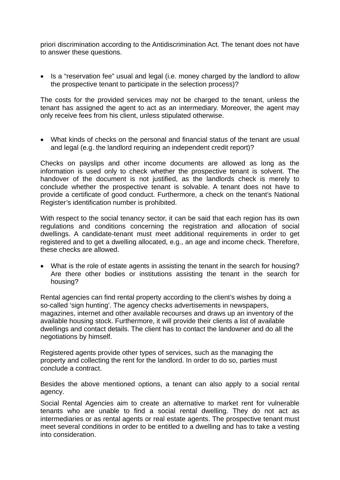priori discrimination according to the Antidiscrimination Act. The tenant does not have to answer these questions.

• Is a "reservation fee" usual and legal (i.e. money charged by the landlord to allow the prospective tenant to participate in the selection process)?

The costs for the provided services may not be charged to the tenant, unless the tenant has assigned the agent to act as an intermediary. Moreover, the agent may only receive fees from his client, unless stipulated otherwise.

 What kinds of checks on the personal and financial status of the tenant are usual and legal (e.g. the landlord requiring an independent credit report)?

Checks on payslips and other income documents are allowed as long as the information is used only to check whether the prospective tenant is solvent. The handover of the document is not justified, as the landlords check is merely to conclude whether the prospective tenant is solvable. A tenant does not have to provide a certificate of good conduct. Furthermore, a check on the tenant's National Register's identification number is prohibited.

With respect to the social tenancy sector, it can be said that each region has its own regulations and conditions concerning the registration and allocation of social dwellings. A candidate-tenant must meet additional requirements in order to get registered and to get a dwelling allocated, e.g., an age and income check. Therefore, these checks are allowed.

 What is the role of estate agents in assisting the tenant in the search for housing? Are there other bodies or institutions assisting the tenant in the search for housing?

Rental agencies can find rental property according to the client's wishes by doing a so-called 'sign hunting'. The agency checks advertisements in newspapers, magazines, internet and other available recourses and draws up an inventory of the available housing stock. Furthermore, it will provide their clients a list of available dwellings and contact details. The client has to contact the landowner and do all the negotiations by himself.

Registered agents provide other types of services, such as the managing the property and collecting the rent for the landlord. In order to do so, parties must conclude a contract.

Besides the above mentioned options, a tenant can also apply to a social rental agency.

Social Rental Agencies aim to create an alternative to market rent for vulnerable tenants who are unable to find a social rental dwelling. They do not act as intermediaries or as rental agents or real estate agents. The prospective tenant must meet several conditions in order to be entitled to a dwelling and has to take a vesting into consideration.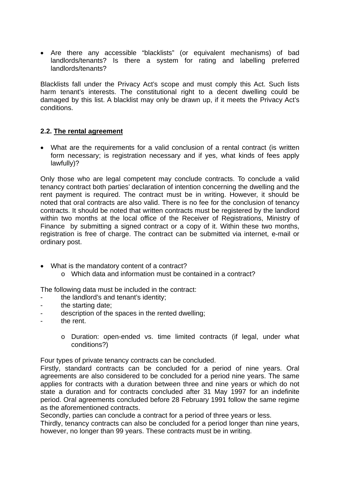Are there any accessible "blacklists" (or equivalent mechanisms) of bad landlords/tenants? Is there a system for rating and labelling preferred landlords/tenants?

Blacklists fall under the Privacy Act's scope and must comply this Act. Such lists harm tenant's interests. The constitutional right to a decent dwelling could be damaged by this list. A blacklist may only be drawn up, if it meets the Privacy Act's conditions.

# **2.2. The rental agreement**

• What are the requirements for a valid conclusion of a rental contract (is written form necessary; is registration necessary and if yes, what kinds of fees apply lawfully)?

Only those who are legal competent may conclude contracts. To conclude a valid tenancy contract both parties' declaration of intention concerning the dwelling and the rent payment is required. The contract must be in writing. However, it should be noted that oral contracts are also valid. There is no fee for the conclusion of tenancy contracts. It should be noted that written contracts must be registered by the landlord within two months at the local office of the Receiver of Registrations, Ministry of Finance by submitting a signed contract or a copy of it. Within these two months, registration is free of charge. The contract can be submitted via internet, e-mail or ordinary post.

- What is the mandatory content of a contract?
	- o Which data and information must be contained in a contract?

The following data must be included in the contract:

- the landlord's and tenant's identity;
- the starting date;
- description of the spaces in the rented dwelling:
- the rent.
	- o Duration: open-ended vs. time limited contracts (if legal, under what conditions?)

Four types of private tenancy contracts can be concluded.

Firstly, standard contracts can be concluded for a period of nine years. Oral agreements are also considered to be concluded for a period nine years. The same applies for contracts with a duration between three and nine years or which do not state a duration and for contracts concluded after 31 May 1997 for an indefinite period. Oral agreements concluded before 28 February 1991 follow the same regime as the aforementioned contracts.

Secondly, parties can conclude a contract for a period of three years or less.

Thirdly, tenancy contracts can also be concluded for a period longer than nine years, however, no longer than 99 years. These contracts must be in writing.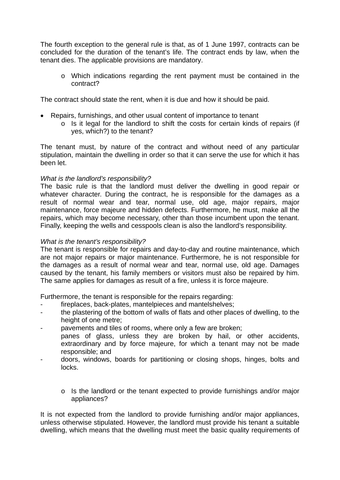The fourth exception to the general rule is that, as of 1 June 1997, contracts can be concluded for the duration of the tenant's life. The contract ends by law, when the tenant dies. The applicable provisions are mandatory.

o Which indications regarding the rent payment must be contained in the contract?

The contract should state the rent, when it is due and how it should be paid.

- Repairs, furnishings, and other usual content of importance to tenant
	- o Is it legal for the landlord to shift the costs for certain kinds of repairs (if yes, which?) to the tenant?

The tenant must, by nature of the contract and without need of any particular stipulation, maintain the dwelling in order so that it can serve the use for which it has been let.

# *What is the landlord's responsibility?*

The basic rule is that the landlord must deliver the dwelling in good repair or whatever character. During the contract, he is responsible for the damages as a result of normal wear and tear, normal use, old age, major repairs, major maintenance, force majeure and hidden defects. Furthermore, he must, make all the repairs, which may become necessary, other than those incumbent upon the tenant. Finally, keeping the wells and cesspools clean is also the landlord's responsibility.

## *What is the tenant's responsibility?*

The tenant is responsible for repairs and day-to-day and routine maintenance, which are not major repairs or major maintenance. Furthermore, he is not responsible for the damages as a result of normal wear and tear, normal use, old age. Damages caused by the tenant, his family members or visitors must also be repaired by him. The same applies for damages as result of a fire, unless it is force majeure.

Furthermore, the tenant is responsible for the repairs regarding:

- fireplaces, back-plates, mantelpieces and mantelshelves;
- the plastering of the bottom of walls of flats and other places of dwelling, to the height of one metre;
- pavements and tiles of rooms, where only a few are broken;
- panes of glass, unless they are broken by hail, or other accidents, extraordinary and by force majeure, for which a tenant may not be made responsible; and
- doors, windows, boards for partitioning or closing shops, hinges, bolts and locks.
	- o Is the landlord or the tenant expected to provide furnishings and/or major appliances?

It is not expected from the landlord to provide furnishing and/or major appliances, unless otherwise stipulated. However, the landlord must provide his tenant a suitable dwelling, which means that the dwelling must meet the basic quality requirements of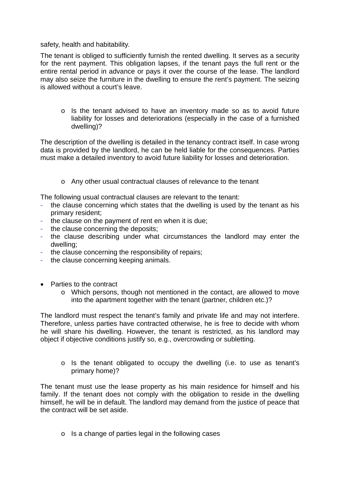safety, health and habitability.

The tenant is obliged to sufficiently furnish the rented dwelling. It serves as a security for the rent payment. This obligation lapses, if the tenant pays the full rent or the entire rental period in advance or pays it over the course of the lease. The landlord may also seize the furniture in the dwelling to ensure the rent's payment. The seizing is allowed without a court's leave.

o Is the tenant advised to have an inventory made so as to avoid future liability for losses and deteriorations (especially in the case of a furnished dwelling)?

The description of the dwelling is detailed in the tenancy contract itself. In case wrong data is provided by the landlord, he can be held liable for the consequences. Parties must make a detailed inventory to avoid future liability for losses and deterioration.

o Any other usual contractual clauses of relevance to the tenant

The following usual contractual clauses are relevant to the tenant:

- the clause concerning which states that the dwelling is used by the tenant as his primary resident;
- the clause on the payment of rent en when it is due;
- the clause concerning the deposits;
- the clause describing under what circumstances the landlord may enter the dwelling;
- the clause concerning the responsibility of repairs;
- the clause concerning keeping animals.
- Parties to the contract
	- o Which persons, though not mentioned in the contact, are allowed to move into the apartment together with the tenant (partner, children etc.)?

The landlord must respect the tenant's family and private life and may not interfere. Therefore, unless parties have contracted otherwise, he is free to decide with whom he will share his dwelling. However, the tenant is restricted, as his landlord may object if objective conditions justify so, e.g., overcrowding or subletting.

o Is the tenant obligated to occupy the dwelling (i.e. to use as tenant's primary home)?

The tenant must use the lease property as his main residence for himself and his family. If the tenant does not comply with the obligation to reside in the dwelling himself, he will be in default. The landlord may demand from the justice of peace that the contract will be set aside.

o Is a change of parties legal in the following cases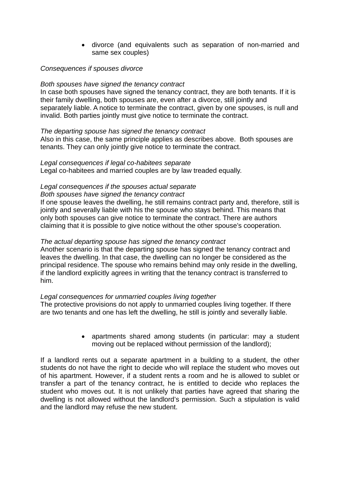divorce (and equivalents such as separation of non-married and same sex couples)

# *Consequences if spouses divorce*

#### *Both spouses have signed the tenancy contract*

In case both spouses have signed the tenancy contract, they are both tenants. If it is their family dwelling, both spouses are, even after a divorce, still jointly and separately liable. A notice to terminate the contract, given by one spouses, is null and invalid. Both parties jointly must give notice to terminate the contract.

### *The departing spouse has signed the tenancy contract*

Also in this case, the same principle applies as describes above. Both spouses are tenants. They can only jointly give notice to terminate the contract.

#### *Legal consequences if legal co-habitees separate*

Legal co-habitees and married couples are by law treaded equally.

### *Legal consequences if the spouses actual separate*

#### *Both spouses have signed the tenancy contract*

If one spouse leaves the dwelling, he still remains contract party and, therefore, still is jointly and severally liable with his the spouse who stays behind. This means that only both spouses can give notice to terminate the contract. There are authors claiming that it is possible to give notice without the other spouse's cooperation.

#### *The actual departing spouse has signed the tenancy contract*

Another scenario is that the departing spouse has signed the tenancy contract and leaves the dwelling. In that case, the dwelling can no longer be considered as the principal residence. The spouse who remains behind may only reside in the dwelling, if the landlord explicitly agrees in writing that the tenancy contract is transferred to him.

#### *Legal consequences for unmarried couples living together*

The protective provisions do not apply to unmarried couples living together. If there are two tenants and one has left the dwelling, he still is jointly and severally liable.

> apartments shared among students (in particular: may a student moving out be replaced without permission of the landlord);

If a landlord rents out a separate apartment in a building to a student, the other students do not have the right to decide who will replace the student who moves out of his apartment. However, if a student rents a room and he is allowed to sublet or transfer a part of the tenancy contract, he is entitled to decide who replaces the student who moves out. It is not unlikely that parties have agreed that sharing the dwelling is not allowed without the landlord's permission. Such a stipulation is valid and the landlord may refuse the new student.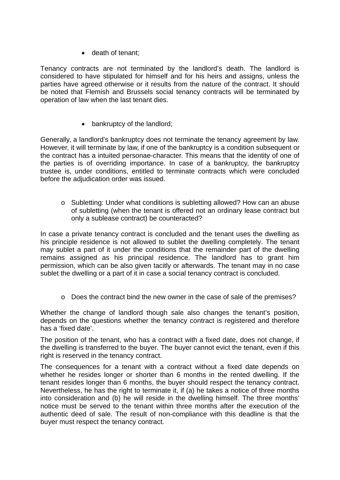• death of tenant;

Tenancy contracts are not terminated by the landlord's death. The landlord is considered to have stipulated for himself and for his heirs and assigns, unless the parties have agreed otherwise or it results from the nature of the contract. It should be noted that Flemish and Brussels social tenancy contracts will be terminated by operation of law when the last tenant dies.

• bankruptcy of the landlord;

Generally, a landlord's bankruptcy does not terminate the tenancy agreement by law. However, it will terminate by law, if one of the bankruptcy is a condition subsequent or the contract has a intuited personae-character. This means that the identity of one of the parties is of overriding importance. In case of a bankruptcy, the bankruptcy trustee is, under conditions, entitled to terminate contracts which were concluded before the adjudication order was issued.

o Subletting: Under what conditions is subletting allowed? How can an abuse of subletting (when the tenant is offered not an ordinary lease contract but only a sublease contract) be counteracted?

In case a private tenancy contract is concluded and the tenant uses the dwelling as his principle residence is not allowed to sublet the dwelling completely. The tenant may sublet a part of it under the conditions that the remainder part of the dwelling remains assigned as his principal residence. The landlord has to grant him permission, which can be also given tacitly or afterwards. The tenant may in no case sublet the dwelling or a part of it in case a social tenancy contract is concluded.

o Does the contract bind the new owner in the case of sale of the premises?

Whether the change of landlord though sale also changes the tenant's position, depends on the questions whether the tenancy contract is registered and therefore has a 'fixed date'.

The position of the tenant, who has a contract with a fixed date, does not change, if the dwelling is transferred to the buyer. The buyer cannot evict the tenant, even if this right is reserved in the tenancy contract.

The consequences for a tenant with a contract without a fixed date depends on whether he resides longer or shorter than 6 months in the rented dwelling. If the tenant resides longer than 6 months, the buyer should respect the tenancy contract. Nevertheless, he has the right to terminate it, if (a) he takes a notice of three months into consideration and (b) he will reside in the dwelling himself. The three months' notice must be served to the tenant within three months after the execution of the authentic deed of sale. The result of non-compliance with this deadline is that the buyer must respect the tenancy contract.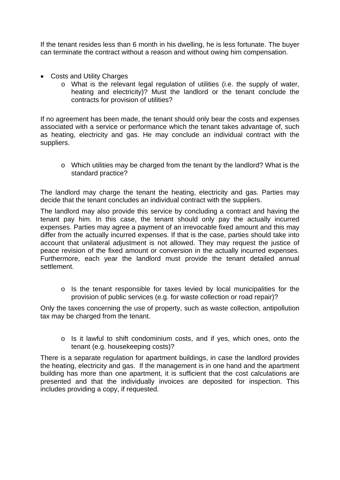If the tenant resides less than 6 month in his dwelling, he is less fortunate. The buyer can terminate the contract without a reason and without owing him compensation.

- Costs and Utility Charges
	- o What is the relevant legal regulation of utilities (i.e. the supply of water, heating and electricity)? Must the landlord or the tenant conclude the contracts for provision of utilities?

If no agreement has been made, the tenant should only bear the costs and expenses associated with a service or performance which the tenant takes advantage of, such as heating, electricity and gas. He may conclude an individual contract with the suppliers.

o Which utilities may be charged from the tenant by the landlord? What is the standard practice?

The landlord may charge the tenant the heating, electricity and gas. Parties may decide that the tenant concludes an individual contract with the suppliers.

The landlord may also provide this service by concluding a contract and having the tenant pay him. In this case, the tenant should only pay the actually incurred expenses. Parties may agree a payment of an irrevocable fixed amount and this may differ from the actually incurred expenses. If that is the case, parties should take into account that unilateral adjustment is not allowed. They may request the justice of peace revision of the fixed amount or conversion in the actually incurred expenses. Furthermore, each year the landlord must provide the tenant detailed annual settlement.

o Is the tenant responsible for taxes levied by local municipalities for the provision of public services (e.g. for waste collection or road repair)?

Only the taxes concerning the use of property, such as waste collection, antipollution tax may be charged from the tenant.

o Is it lawful to shift condominium costs, and if yes, which ones, onto the tenant (e.g. housekeeping costs)?

There is a separate regulation for apartment buildings, in case the landlord provides the heating, electricity and gas. If the management is in one hand and the apartment building has more than one apartment, it is sufficient that the cost calculations are presented and that the individually invoices are deposited for inspection. This includes providing a copy, if requested.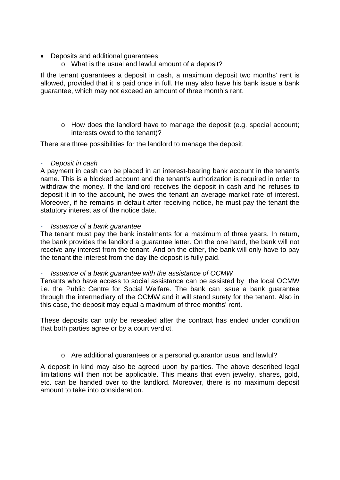- Deposits and additional quarantees
	- o What is the usual and lawful amount of a deposit?

If the tenant guarantees a deposit in cash, a maximum deposit two months' rent is allowed, provided that it is paid once in full. He may also have his bank issue a bank guarantee, which may not exceed an amount of three month's rent.

o How does the landlord have to manage the deposit (e.g. special account; interests owed to the tenant)?

There are three possibilities for the landlord to manage the deposit.

# - *Deposit in cash*

A payment in cash can be placed in an interest-bearing bank account in the tenant's name. This is a blocked account and the tenant's authorization is required in order to withdraw the money. If the landlord receives the deposit in cash and he refuses to deposit it in to the account, he owes the tenant an average market rate of interest. Moreover, if he remains in default after receiving notice, he must pay the tenant the statutory interest as of the notice date.

# - *Issuance of a bank guarantee*

The tenant must pay the bank instalments for a maximum of three years. In return, the bank provides the landlord a guarantee letter. On the one hand, the bank will not receive any interest from the tenant. And on the other, the bank will only have to pay the tenant the interest from the day the deposit is fully paid.

# - *Issuance of a bank guarantee with the assistance of OCMW*

Tenants who have access to social assistance can be assisted by the local OCMW i.e. the Public Centre for Social Welfare. The bank can issue a bank guarantee through the intermediary of the OCMW and it will stand surety for the tenant. Also in this case, the deposit may equal a maximum of three months' rent.

These deposits can only be resealed after the contract has ended under condition that both parties agree or by a court verdict.

# o Are additional guarantees or a personal guarantor usual and lawful?

A deposit in kind may also be agreed upon by parties. The above described legal limitations will then not be applicable. This means that even jewelry, shares, gold, etc. can be handed over to the landlord. Moreover, there is no maximum deposit amount to take into consideration.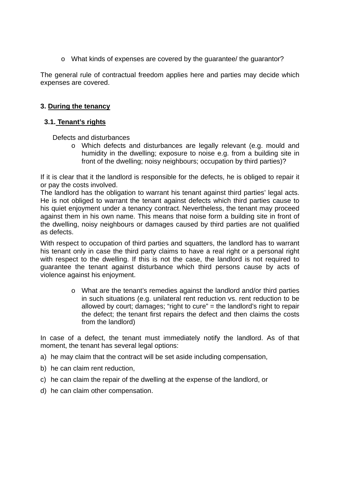o What kinds of expenses are covered by the guarantee/ the guarantor?

The general rule of contractual freedom applies here and parties may decide which expenses are covered.

# **3. During the tenancy**

# **3.1. Tenant's rights**

Defects and disturbances

o Which defects and disturbances are legally relevant (e.g. mould and humidity in the dwelling; exposure to noise e.g. from a building site in front of the dwelling; noisy neighbours; occupation by third parties)?

If it is clear that it the landlord is responsible for the defects, he is obliged to repair it or pay the costs involved.

The landlord has the obligation to warrant his tenant against third parties' legal acts. He is not obliged to warrant the tenant against defects which third parties cause to his quiet enjoyment under a tenancy contract. Nevertheless, the tenant may proceed against them in his own name. This means that noise form a building site in front of the dwelling, noisy neighbours or damages caused by third parties are not qualified as defects.

With respect to occupation of third parties and squatters, the landlord has to warrant his tenant only in case the third party claims to have a real right or a personal right with respect to the dwelling. If this is not the case, the landlord is not required to guarantee the tenant against disturbance which third persons cause by acts of violence against his enjoyment.

> o What are the tenant's remedies against the landlord and/or third parties in such situations (e.g. unilateral rent reduction vs. rent reduction to be allowed by court; damages; "right to cure" = the landlord's right to repair the defect; the tenant first repairs the defect and then claims the costs from the landlord)

In case of a defect, the tenant must immediately notify the landlord. As of that moment, the tenant has several legal options:

- a) he may claim that the contract will be set aside including compensation,
- b) he can claim rent reduction,
- c) he can claim the repair of the dwelling at the expense of the landlord, or
- d) he can claim other compensation.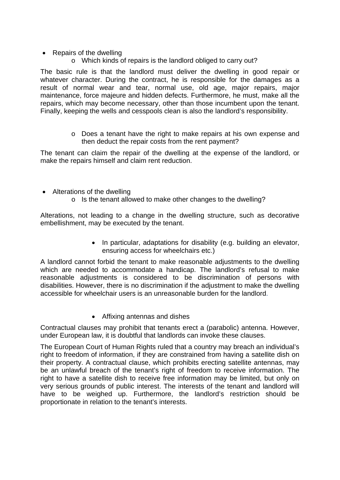- Repairs of the dwelling
	- o Which kinds of repairs is the landlord obliged to carry out?

The basic rule is that the landlord must deliver the dwelling in good repair or whatever character. During the contract, he is responsible for the damages as a result of normal wear and tear, normal use, old age, major repairs, major maintenance, force majeure and hidden defects. Furthermore, he must, make all the repairs, which may become necessary, other than those incumbent upon the tenant. Finally, keeping the wells and cesspools clean is also the landlord's responsibility.

> o Does a tenant have the right to make repairs at his own expense and then deduct the repair costs from the rent payment?

The tenant can claim the repair of the dwelling at the expense of the landlord, or make the repairs himself and claim rent reduction.

- Alterations of the dwelling
	- o Is the tenant allowed to make other changes to the dwelling?

Alterations, not leading to a change in the dwelling structure, such as decorative embellishment, may be executed by the tenant.

> • In particular, adaptations for disability (e.g. building an elevator, ensuring access for wheelchairs etc.)

A landlord cannot forbid the tenant to make reasonable adjustments to the dwelling which are needed to accommodate a handicap. The landlord's refusal to make reasonable adjustments is considered to be discrimination of persons with disabilities. However, there is no discrimination if the adjustment to make the dwelling accessible for wheelchair users is an unreasonable burden for the landlord.

Affixing antennas and dishes

Contractual clauses may prohibit that tenants erect a (parabolic) antenna. However, under European law, it is doubtful that landlords can invoke these clauses.

The European Court of Human Rights ruled that a country may breach an individual's right to freedom of information, if they are constrained from having a satellite dish on their property. A contractual clause, which prohibits erecting satellite antennas, may be an unlawful breach of the tenant's right of freedom to receive information. The right to have a satellite dish to receive free information may be limited, but only on very serious grounds of public interest. The interests of the tenant and landlord will have to be weighed up. Furthermore, the landlord's restriction should be proportionate in relation to the tenant's interests.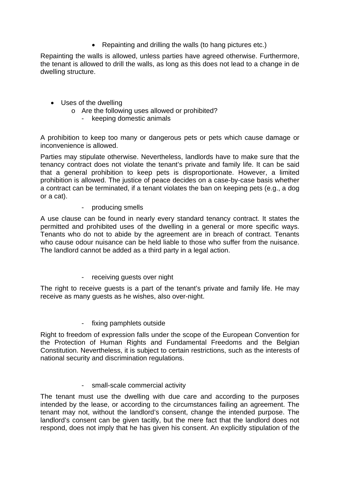• Repainting and drilling the walls (to hang pictures etc.)

Repainting the walls is allowed, unless parties have agreed otherwise. Furthermore, the tenant is allowed to drill the walls, as long as this does not lead to a change in de dwelling structure.

- Uses of the dwelling
	- o Are the following uses allowed or prohibited?
		- keeping domestic animals

A prohibition to keep too many or dangerous pets or pets which cause damage or inconvenience is allowed.

Parties may stipulate otherwise. Nevertheless, landlords have to make sure that the tenancy contract does not violate the tenant's private and family life. It can be said that a general prohibition to keep pets is disproportionate. However, a limited prohibition is allowed. The justice of peace decides on a case-by-case basis whether a contract can be terminated, if a tenant violates the ban on keeping pets (e.g., a dog or a cat).

- producing smells

A use clause can be found in nearly every standard tenancy contract. It states the permitted and prohibited uses of the dwelling in a general or more specific ways. Tenants who do not to abide by the agreement are in breach of contract. Tenants who cause odour nuisance can be held liable to those who suffer from the nuisance. The landlord cannot be added as a third party in a legal action.

- receiving guests over night

The right to receive guests is a part of the tenant's private and family life. He may receive as many guests as he wishes, also over-night.

- fixing pamphlets outside

Right to freedom of expression falls under the scope of the European Convention for the Protection of Human Rights and Fundamental Freedoms and the Belgian Constitution. Nevertheless, it is subject to certain restrictions, such as the interests of national security and discrimination regulations.

small-scale commercial activity

The tenant must use the dwelling with due care and according to the purposes intended by the lease, or according to the circumstances failing an agreement. The tenant may not, without the landlord's consent, change the intended purpose. The landlord's consent can be given tacitly, but the mere fact that the landlord does not respond, does not imply that he has given his consent. An explicitly stipulation of the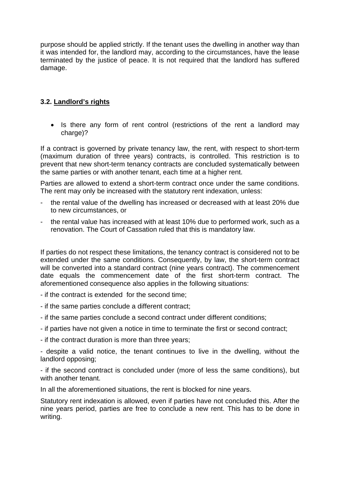purpose should be applied strictly. If the tenant uses the dwelling in another way than it was intended for, the landlord may, according to the circumstances, have the lease terminated by the justice of peace. It is not required that the landlord has suffered damage.

# **3.2. Landlord's rights**

• Is there any form of rent control (restrictions of the rent a landlord may charge)?

If a contract is governed by private tenancy law, the rent, with respect to short-term (maximum duration of three years) contracts, is controlled. This restriction is to prevent that new short-term tenancy contracts are concluded systematically between the same parties or with another tenant, each time at a higher rent.

Parties are allowed to extend a short-term contract once under the same conditions. The rent may only be increased with the statutory rent indexation, unless:

- the rental value of the dwelling has increased or decreased with at least 20% due to new circumstances, or
- the rental value has increased with at least 10% due to performed work, such as a renovation. The Court of Cassation ruled that this is mandatory law.

If parties do not respect these limitations, the tenancy contract is considered not to be extended under the same conditions. Consequently, by law, the short-term contract will be converted into a standard contract (nine years contract). The commencement date equals the commencement date of the first short-term contract. The aforementioned consequence also applies in the following situations:

- if the contract is extended for the second time;
- if the same parties conclude a different contract;
- if the same parties conclude a second contract under different conditions;
- if parties have not given a notice in time to terminate the first or second contract;
- if the contract duration is more than three years;

- despite a valid notice, the tenant continues to live in the dwelling, without the landlord opposing;

- if the second contract is concluded under (more of less the same conditions), but with another tenant.

In all the aforementioned situations, the rent is blocked for nine years.

Statutory rent indexation is allowed, even if parties have not concluded this. After the nine years period, parties are free to conclude a new rent. This has to be done in writing.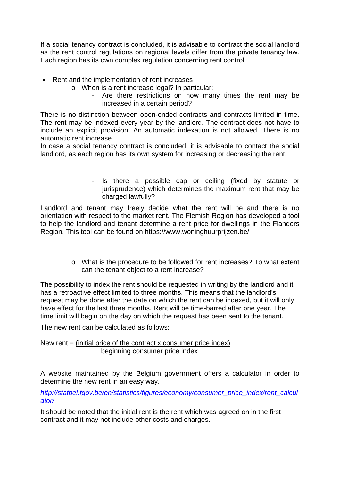If a social tenancy contract is concluded, it is advisable to contract the social landlord as the rent control regulations on regional levels differ from the private tenancy law. Each region has its own complex regulation concerning rent control.

- Rent and the implementation of rent increases
	- o When is a rent increase legal? In particular:
		- Are there restrictions on how many times the rent may be increased in a certain period?

There is no distinction between open-ended contracts and contracts limited in time. The rent may be indexed every year by the landlord. The contract does not have to include an explicit provision. An automatic indexation is not allowed. There is no automatic rent increase.

In case a social tenancy contract is concluded, it is advisable to contact the social landlord, as each region has its own system for increasing or decreasing the rent.

> - Is there a possible cap or ceiling (fixed by statute or jurisprudence) which determines the maximum rent that may be charged lawfully?

Landlord and tenant may freely decide what the rent will be and there is no orientation with respect to the market rent. The Flemish Region has developed a tool to help the landlord and tenant determine a rent price for dwellings in the Flanders Region. This tool can be found on https://www.woninghuurprijzen.be/

> o What is the procedure to be followed for rent increases? To what extent can the tenant object to a rent increase?

The possibility to index the rent should be requested in writing by the landlord and it has a retroactive effect limited to three months. This means that the landlord's request may be done after the date on which the rent can be indexed, but it will only have effect for the last three months. Rent will be time-barred after one year. The time limit will begin on the day on which the request has been sent to the tenant.

The new rent can be calculated as follows:

New rent  $=$  (initial price of the contract x consumer price index) beginning consumer price index

A website maintained by the Belgium government offers a calculator in order to determine the new rent in an easy way.

*[http://statbel.fgov.be/en/statistics/figures/economy/consumer\\_price\\_index/rent\\_calcul](http://statbel.fgov.be/en/statistics/figures/economy/consumer_price_index/rent_calculator/) [ator/](http://statbel.fgov.be/en/statistics/figures/economy/consumer_price_index/rent_calculator/)*

It should be noted that the initial rent is the rent which was agreed on in the first contract and it may not include other costs and charges.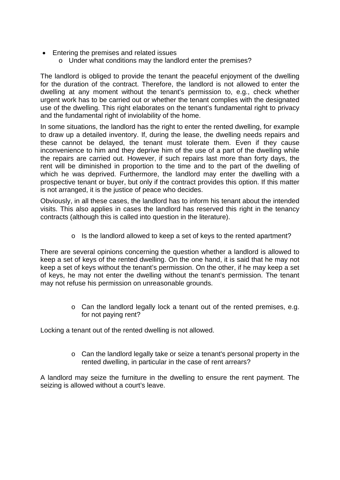- Entering the premises and related issues
	- o Under what conditions may the landlord enter the premises?

The landlord is obliged to provide the tenant the peaceful enjoyment of the dwelling for the duration of the contract. Therefore, the landlord is not allowed to enter the dwelling at any moment without the tenant's permission to, e.g., check whether urgent work has to be carried out or whether the tenant complies with the designated use of the dwelling. This right elaborates on the tenant's fundamental right to privacy and the fundamental right of inviolability of the home.

In some situations, the landlord has the right to enter the rented dwelling, for example to draw up a detailed inventory. If, during the lease, the dwelling needs repairs and these cannot be delayed, the tenant must tolerate them. Even if they cause inconvenience to him and they deprive him of the use of a part of the dwelling while the repairs are carried out. However, if such repairs last more than forty days, the rent will be diminished in proportion to the time and to the part of the dwelling of which he was deprived. Furthermore, the landlord may enter the dwelling with a prospective tenant or buyer, but only if the contract provides this option. If this matter is not arranged, it is the justice of peace who decides.

Obviously, in all these cases, the landlord has to inform his tenant about the intended visits. This also applies in cases the landlord has reserved this right in the tenancy contracts (although this is called into question in the literature).

o Is the landlord allowed to keep a set of keys to the rented apartment?

There are several opinions concerning the question whether a landlord is allowed to keep a set of keys of the rented dwelling. On the one hand, it is said that he may not keep a set of keys without the tenant's permission. On the other, if he may keep a set of keys, he may not enter the dwelling without the tenant's permission. The tenant may not refuse his permission on unreasonable grounds.

> o Can the landlord legally lock a tenant out of the rented premises, e.g. for not paying rent?

Locking a tenant out of the rented dwelling is not allowed.

o Can the landlord legally take or seize a tenant's personal property in the rented dwelling, in particular in the case of rent arrears?

A landlord may seize the furniture in the dwelling to ensure the rent payment. The seizing is allowed without a court's leave.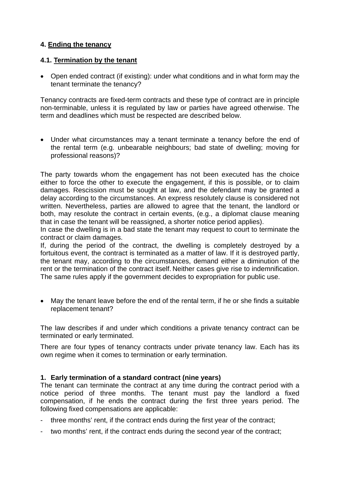# **4. Ending the tenancy**

# **4.1. Termination by the tenant**

 Open ended contract (if existing): under what conditions and in what form may the tenant terminate the tenancy?

Tenancy contracts are fixed-term contracts and these type of contract are in principle non-terminable, unless it is regulated by law or parties have agreed otherwise. The term and deadlines which must be respected are described below.

 Under what circumstances may a tenant terminate a tenancy before the end of the rental term (e.g. unbearable neighbours; bad state of dwelling; moving for professional reasons)?

The party towards whom the engagement has not been executed has the choice either to force the other to execute the engagement, if this is possible, or to claim damages. Rescission must be sought at law, and the defendant may be granted a delay according to the circumstances. An express resolutely clause is considered not written. Nevertheless, parties are allowed to agree that the tenant, the landlord or both, may resolute the contract in certain events, (e.g., a diplomat clause meaning that in case the tenant will be reassigned, a shorter notice period applies).

In case the dwelling is in a bad state the tenant may request to court to terminate the contract or claim damages.

If, during the period of the contract, the dwelling is completely destroyed by a fortuitous event, the contract is terminated as a matter of law. If it is destroyed partly, the tenant may, according to the circumstances, demand either a diminution of the rent or the termination of the contract itself. Neither cases give rise to indemnification. The same rules apply if the government decides to expropriation for public use.

 May the tenant leave before the end of the rental term, if he or she finds a suitable replacement tenant?

The law describes if and under which conditions a private tenancy contract can be terminated or early terminated.

There are four types of tenancy contracts under private tenancy law. Each has its own regime when it comes to termination or early termination.

# **1. Early termination of a standard contract (nine years)**

The tenant can terminate the contract at any time during the contract period with a notice period of three months. The tenant must pay the landlord a fixed compensation, if he ends the contract during the first three years period. The following fixed compensations are applicable:

- three months' rent, if the contract ends during the first year of the contract;
- two months' rent, if the contract ends during the second year of the contract;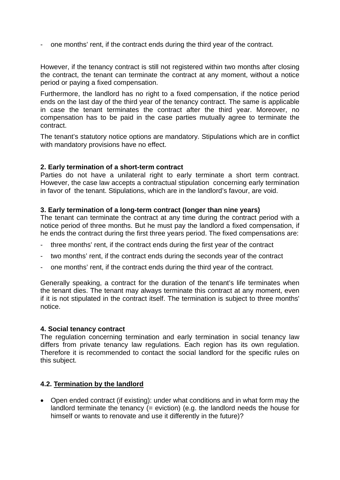- one months' rent, if the contract ends during the third year of the contract.

However, if the tenancy contract is still not registered within two months after closing the contract, the tenant can terminate the contract at any moment, without a notice period or paying a fixed compensation.

Furthermore, the landlord has no right to a fixed compensation, if the notice period ends on the last day of the third year of the tenancy contract. The same is applicable in case the tenant terminates the contract after the third year. Moreover, no compensation has to be paid in the case parties mutually agree to terminate the contract.

The tenant's statutory notice options are mandatory. Stipulations which are in conflict with mandatory provisions have no effect.

### **2. Early termination of a short-term contract**

Parties do not have a unilateral right to early terminate a short term contract. However, the case law accepts a contractual stipulation concerning early termination in favor of the tenant. Stipulations, which are in the landlord's favour, are void.

#### **3. Early termination of a long-term contract (longer than nine years)**

The tenant can terminate the contract at any time during the contract period with a notice period of three months. But he must pay the landlord a fixed compensation, if he ends the contract during the first three years period. The fixed compensations are:

- three months' rent, if the contract ends during the first year of the contract
- two months' rent, if the contract ends during the seconds year of the contract
- one months' rent, if the contract ends during the third year of the contract.

Generally speaking, a contract for the duration of the tenant's life terminates when the tenant dies. The tenant may always terminate this contract at any moment, even if it is not stipulated in the contract itself. The termination is subject to three months' notice.

#### **4. Social tenancy contract**

The regulation concerning termination and early termination in social tenancy law differs from private tenancy law regulations. Each region has its own regulation. Therefore it is recommended to contact the social landlord for the specific rules on this subject.

#### **4.2. Termination by the landlord**

• Open ended contract (if existing): under what conditions and in what form may the landlord terminate the tenancy (= eviction) (e.g. the landlord needs the house for himself or wants to renovate and use it differently in the future)?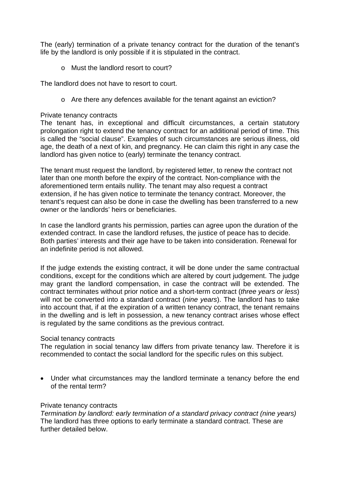The (early) termination of a private tenancy contract for the duration of the tenant's life by the landlord is only possible if it is stipulated in the contract.

o Must the landlord resort to court?

The landlord does not have to resort to court.

 $\circ$  Are there any defences available for the tenant against an eviction?

## Private tenancy contracts

The tenant has, in exceptional and difficult circumstances, a certain statutory prolongation right to extend the tenancy contract for an additional period of time. This is called the "social clause". Examples of such circumstances are serious illness, old age, the death of a next of kin, and pregnancy. He can claim this right in any case the landlord has given notice to (early) terminate the tenancy contract.

The tenant must request the landlord, by registered letter, to renew the contract not later than one month before the expiry of the contract. Non-compliance with the aforementioned term entails nullity. The tenant may also request a contract extension, if he has given notice to terminate the tenancy contract. Moreover, the tenant's request can also be done in case the dwelling has been transferred to a new owner or the landlords' heirs or beneficiaries.

In case the landlord grants his permission, parties can agree upon the duration of the extended contract. In case the landlord refuses, the justice of peace has to decide. Both parties' interests and their age have to be taken into consideration. Renewal for an indefinite period is not allowed.

If the judge extends the existing contract, it will be done under the same contractual conditions, except for the conditions which are altered by court judgement. The judge may grant the landlord compensation, in case the contract will be extended. The contract terminates without prior notice and a short-term contract (*three years or less*) will not be converted into a standard contract (*nine years*). The landlord has to take into account that, if at the expiration of a written tenancy contract, the tenant remains in the dwelling and is left in possession, a new tenancy contract arises whose effect is regulated by the same conditions as the previous contract.

# Social tenancy contracts

The regulation in social tenancy law differs from private tenancy law. Therefore it is recommended to contact the social landlord for the specific rules on this subject.

 Under what circumstances may the landlord terminate a tenancy before the end of the rental term?

#### Private tenancy contracts

*Termination by landlord: early termination of a standard privacy contract (nine years)*  The landlord has three options to early terminate a standard contract. These are further detailed below.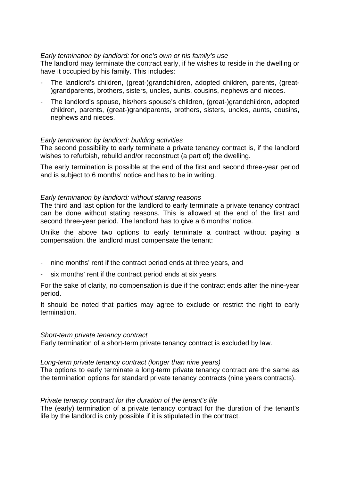## *Early termination by landlord: for one's own or his family's use*

The landlord may terminate the contract early, if he wishes to reside in the dwelling or have it occupied by his family. This includes:

- The landlord's children, (great-)grandchildren, adopted children, parents, (great-)grandparents, brothers, sisters, uncles, aunts, cousins, nephews and nieces.
- The landlord's spouse, his/hers spouse's children, (great-)grandchildren, adopted children, parents, (great-)grandparents, brothers, sisters, uncles, aunts, cousins, nephews and nieces.

# *Early termination by landlord: building activities*

The second possibility to early terminate a private tenancy contract is, if the landlord wishes to refurbish, rebuild and/or reconstruct (a part of) the dwelling.

The early termination is possible at the end of the first and second three-year period and is subject to 6 months' notice and has to be in writing.

#### *Early termination by landlord: without stating reasons*

The third and last option for the landlord to early terminate a private tenancy contract can be done without stating reasons. This is allowed at the end of the first and second three-year period. The landlord has to give a 6 months' notice.

Unlike the above two options to early terminate a contract without paying a compensation, the landlord must compensate the tenant:

- nine months' rent if the contract period ends at three years, and
- six months' rent if the contract period ends at six years.

For the sake of clarity, no compensation is due if the contract ends after the nine-year period.

It should be noted that parties may agree to exclude or restrict the right to early termination.

#### *Short-term private tenancy contract*

Early termination of a short-term private tenancy contract is excluded by law.

#### *Long-term private tenancy contract (longer than nine years)*

The options to early terminate a long-term private tenancy contract are the same as the termination options for standard private tenancy contracts (nine years contracts).

#### *Private tenancy contract for the duration of the tenant's life*

The (early) termination of a private tenancy contract for the duration of the tenant's life by the landlord is only possible if it is stipulated in the contract.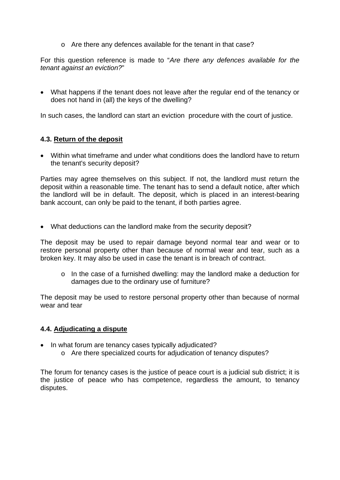o Are there any defences available for the tenant in that case?

For this question reference is made to "*Are there any defences available for the tenant against an eviction?*"

 What happens if the tenant does not leave after the regular end of the tenancy or does not hand in (all) the keys of the dwelling?

In such cases, the landlord can start an eviction procedure with the court of justice.

# **4.3. Return of the deposit**

 Within what timeframe and under what conditions does the landlord have to return the tenant's security deposit?

Parties may agree themselves on this subject. If not, the landlord must return the deposit within a reasonable time. The tenant has to send a default notice, after which the landlord will be in default. The deposit, which is placed in an interest-bearing bank account, can only be paid to the tenant, if both parties agree.

What deductions can the landlord make from the security deposit?

The deposit may be used to repair damage beyond normal tear and wear or to restore personal property other than because of normal wear and tear, such as a broken key. It may also be used in case the tenant is in breach of contract.

o In the case of a furnished dwelling: may the landlord make a deduction for damages due to the ordinary use of furniture?

The deposit may be used to restore personal property other than because of normal wear and tear

# **4.4. Adjudicating a dispute**

- In what forum are tenancy cases typically adjudicated?
	- o Are there specialized courts for adjudication of tenancy disputes?

The forum for tenancy cases is the justice of peace court is a judicial sub district; it is the justice of peace who has competence, regardless the amount, to tenancy disputes.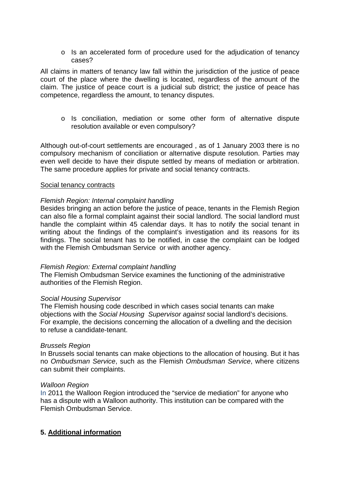o Is an accelerated form of procedure used for the adjudication of tenancy cases?

All claims in matters of tenancy law fall within the jurisdiction of the justice of peace court of the place where the dwelling is located, regardless of the amount of the claim. The justice of peace court is a judicial sub district; the justice of peace has competence, regardless the amount, to tenancy disputes.

o Is conciliation, mediation or some other form of alternative dispute resolution available or even compulsory?

Although out-of-court settlements are encouraged , as of 1 January 2003 there is no compulsory mechanism of conciliation or alternative dispute resolution. Parties may even well decide to have their dispute settled by means of mediation or arbitration. The same procedure applies for private and social tenancy contracts.

#### Social tenancy contracts

### *Flemish Region: Internal complaint handling*

Besides bringing an action before the justice of peace, tenants in the Flemish Region can also file a formal complaint against their social landlord. The social landlord must handle the complaint within 45 calendar days. It has to notify the social tenant in writing about the findings of the complaint's investigation and its reasons for its findings. The social tenant has to be notified, in case the complaint can be lodged with the Flemish Ombudsman Service or with another agency.

# *Flemish Region: External complaint handling*

The Flemish Ombudsman Service examines the functioning of the administrative authorities of the Flemish Region.

#### *Social Housing Supervisor*

The Flemish housing code described in which cases social tenants can make objections with the *Social Housing Supervisor against* social landlord's decisions. For example, the decisions concerning the allocation of a dwelling and the decision to refuse a candidate-tenant.

#### *Brussels Region*

In Brussels social tenants can make objections to the allocation of housing. But it has no *Ombudsman Service*, such as the Flemish *Ombudsman Service*, where citizens can submit their complaints.

#### *Walloon Region*

In 2011 the Walloon Region introduced the "service de mediation" for anyone who has a dispute with a Walloon authority. This institution can be compared with the Flemish Ombudsman Service.

# **5. Additional information**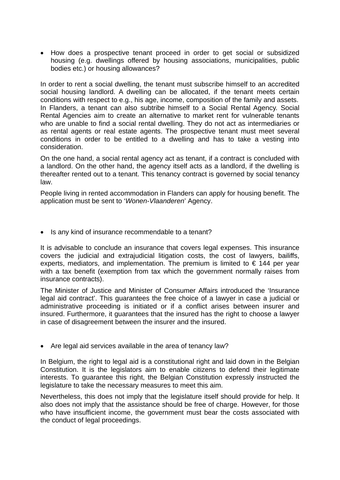How does a prospective tenant proceed in order to get social or subsidized housing (e.g. dwellings offered by housing associations, municipalities, public bodies etc.) or housing allowances?

In order to rent a social dwelling, the tenant must subscribe himself to an accredited social housing landlord. A dwelling can be allocated, if the tenant meets certain conditions with respect to e.g., his age, income, composition of the family and assets. In Flanders, a tenant can also subtribe himself to a Social Rental Agency. Social Rental Agencies aim to create an alternative to market rent for vulnerable tenants who are unable to find a social rental dwelling. They do not act as intermediaries or as rental agents or real estate agents. The prospective tenant must meet several conditions in order to be entitled to a dwelling and has to take a vesting into consideration.

On the one hand, a social rental agency act as tenant, if a contract is concluded with a landlord. On the other hand, the agency itself acts as a landlord, if the dwelling is thereafter rented out to a tenant. This tenancy contract is governed by social tenancy law.

People living in rented accommodation in Flanders can apply for housing benefit. The application must be sent to '*Wonen-Vlaanderen*' Agency.

• Is any kind of insurance recommendable to a tenant?

It is advisable to conclude an insurance that covers legal expenses. This insurance covers the judicial and extrajudicial litigation costs, the cost of lawyers, bailiffs, experts, mediators, and implementation. The premium is limited to  $\epsilon$  144 per year with a tax benefit (exemption from tax which the government normally raises from insurance contracts).

The Minister of Justice and Minister of Consumer Affairs introduced the 'Insurance legal aid contract'. This guarantees the free choice of a lawyer in case a judicial or administrative proceeding is initiated or if a conflict arises between insurer and insured. Furthermore, it guarantees that the insured has the right to choose a lawyer in case of disagreement between the insurer and the insured.

• Are legal aid services available in the area of tenancy law?

In Belgium, the right to legal aid is a constitutional right and laid down in the Belgian Constitution. It is the legislators aim to enable citizens to defend their legitimate interests. To guarantee this right, the Belgian Constitution expressly instructed the legislature to take the necessary measures to meet this aim.

Nevertheless, this does not imply that the legislature itself should provide for help. It also does not imply that the assistance should be free of charge. However, for those who have insufficient income, the government must bear the costs associated with the conduct of legal proceedings.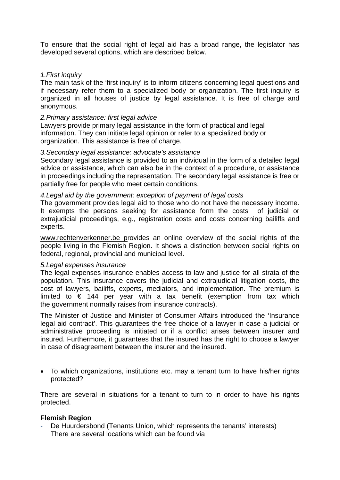To ensure that the social right of legal aid has a broad range, the legislator has developed several options, which are described below.

## *1.First inquiry*

The main task of the 'first inquiry' is to inform citizens concerning legal questions and if necessary refer them to a specialized body or organization. The first inquiry is organized in all houses of justice by legal assistance. It is free of charge and anonymous.

#### *2.Primary assistance: first legal advice*

Lawyers provide primary legal assistance in the form of practical and legal information. They can initiate legal opinion or refer to a specialized body or organization. This assistance is free of charge.

### *3.Secondary legal assistance: advocate's assistance*

Secondary legal assistance is provided to an individual in the form of a detailed legal advice or assistance, which can also be in the context of a procedure, or assistance in proceedings including the representation. The secondary legal assistance is free or partially free for people who meet certain conditions.

### *4.Legal aid by the government: exception of payment of legal costs*

The government provides legal aid to those who do not have the necessary income. It exempts the persons seeking for assistance form the costs of judicial or extrajudicial proceedings, e.g., registration costs and costs concerning bailiffs and experts.

[www.rechtenverkenner.be](http://www.rechtenverkenner.be/) provides an online overview of the social rights of the people living in the Flemish Region. It shows a distinction between social rights on federal, regional, provincial and municipal level.

#### *5.Legal expenses insurance*

The legal expenses insurance enables access to law and justice for all strata of the population. This insurance covers the judicial and extrajudicial litigation costs, the cost of lawyers, bailiffs, experts, mediators, and implementation. The premium is limited to  $\epsilon$  144 per year with a tax benefit (exemption from tax which the government normally raises from insurance contracts).

The Minister of Justice and Minister of Consumer Affairs introduced the 'Insurance legal aid contract'. This guarantees the free choice of a lawyer in case a judicial or administrative proceeding is initiated or if a conflict arises between insurer and insured. Furthermore, it guarantees that the insured has the right to choose a lawyer in case of disagreement between the insurer and the insured.

 To which organizations, institutions etc. may a tenant turn to have his/her rights protected?

There are several in situations for a tenant to turn to in order to have his rights protected.

# **Flemish Region**

De Huurdersbond (Tenants Union, which represents the tenants' interests) There are several locations which can be found via